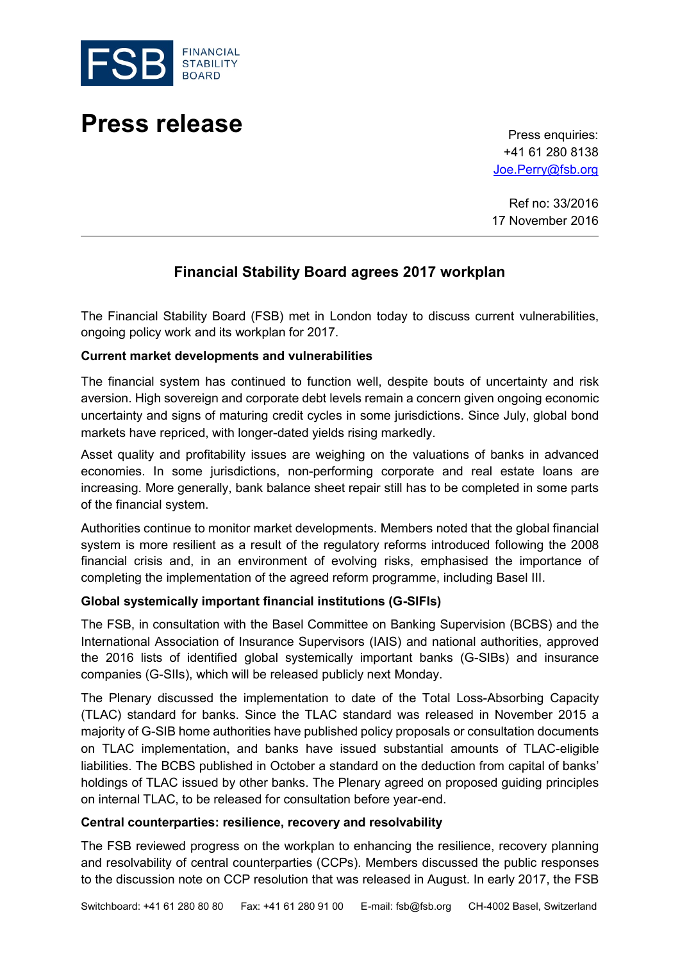

# **Press release** Press enquiries:

+41 61 280 8138 [Joe.Perry@fsb.org](mailto:Joe.Perry@fsb.org)

Ref no: 33/2016 17 November 2016

# **Financial Stability Board agrees 2017 workplan**

The Financial Stability Board (FSB) met in London today to discuss current vulnerabilities, ongoing policy work and its workplan for 2017.

#### **Current market developments and vulnerabilities**

The financial system has continued to function well, despite bouts of uncertainty and risk aversion. High sovereign and corporate debt levels remain a concern given ongoing economic uncertainty and signs of maturing credit cycles in some jurisdictions. Since July, global bond markets have repriced, with longer-dated yields rising markedly.

Asset quality and profitability issues are weighing on the valuations of banks in advanced economies. In some jurisdictions, non-performing corporate and real estate loans are increasing. More generally, bank balance sheet repair still has to be completed in some parts of the financial system.

Authorities continue to monitor market developments. Members noted that the global financial system is more resilient as a result of the regulatory reforms introduced following the 2008 financial crisis and, in an environment of evolving risks, emphasised the importance of completing the implementation of the agreed reform programme, including Basel III.

#### **Global systemically important financial institutions (G-SIFIs)**

The FSB, in consultation with the Basel Committee on Banking Supervision (BCBS) and the International Association of Insurance Supervisors (IAIS) and national authorities, approved the 2016 lists of identified global systemically important banks (G-SIBs) and insurance companies (G-SIIs), which will be released publicly next Monday.

The Plenary discussed the implementation to date of the Total Loss-Absorbing Capacity (TLAC) standard for banks. Since the TLAC standard was released in November 2015 a majority of G-SIB home authorities have published policy proposals or consultation documents on TLAC implementation, and banks have issued substantial amounts of TLAC-eligible liabilities. The BCBS published in October a standard on the deduction from capital of banks' holdings of TLAC issued by other banks. The Plenary agreed on proposed guiding principles on internal TLAC, to be released for consultation before year-end.

#### **Central counterparties: resilience, recovery and resolvability**

The FSB reviewed progress on the workplan to enhancing the resilience, recovery planning and resolvability of central counterparties (CCPs). Members discussed the public responses to the discussion note on CCP resolution that was released in August. In early 2017, the FSB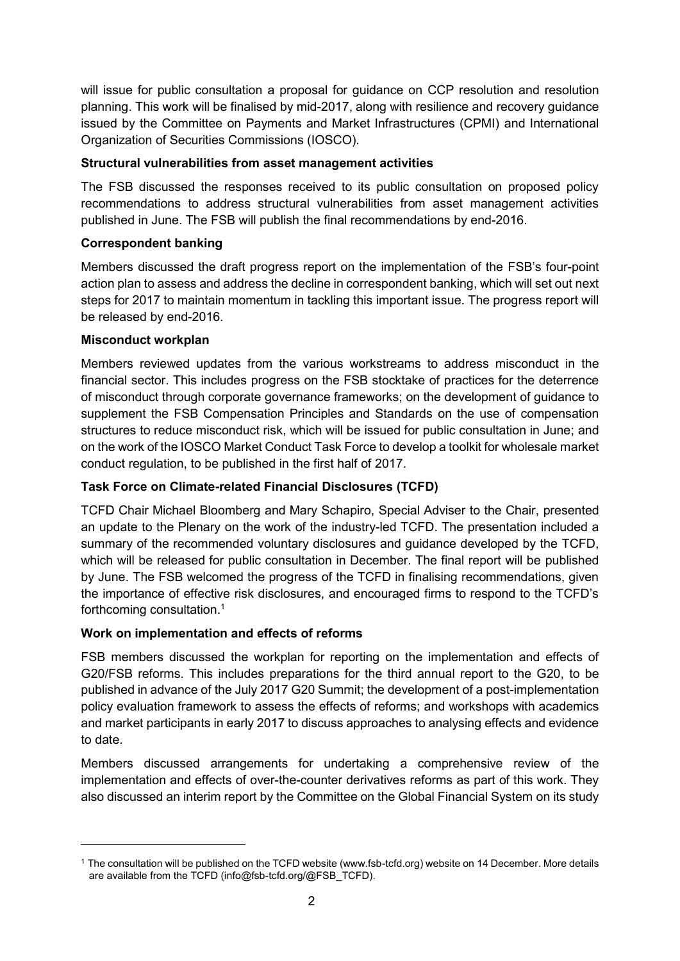will issue for public consultation a proposal for guidance on CCP resolution and resolution planning. This work will be finalised by mid-2017, along with resilience and recovery guidance issued by the Committee on Payments and Market Infrastructures (CPMI) and International Organization of Securities Commissions (IOSCO).

## **Structural vulnerabilities from asset management activities**

The FSB discussed the responses received to its public consultation on proposed policy recommendations to address structural vulnerabilities from asset management activities published in June. The FSB will publish the final recommendations by end-2016.

## **Correspondent banking**

Members discussed the draft progress report on the implementation of the FSB's four-point action plan to assess and address the decline in correspondent banking, which will set out next steps for 2017 to maintain momentum in tackling this important issue. The progress report will be released by end-2016.

#### **Misconduct workplan**

Members reviewed updates from the various workstreams to address misconduct in the financial sector. This includes progress on the FSB stocktake of practices for the deterrence of misconduct through corporate governance frameworks; on the development of guidance to supplement the FSB Compensation Principles and Standards on the use of compensation structures to reduce misconduct risk, which will be issued for public consultation in June; and on the work of the IOSCO Market Conduct Task Force to develop a toolkit for wholesale market conduct regulation, to be published in the first half of 2017.

# **Task Force on Climate-related Financial Disclosures (TCFD)**

TCFD Chair Michael Bloomberg and Mary Schapiro, Special Adviser to the Chair, presented an update to the Plenary on the work of the industry-led TCFD. The presentation included a summary of the recommended voluntary disclosures and guidance developed by the TCFD, which will be released for public consultation in December. The final report will be published by June. The FSB welcomed the progress of the TCFD in finalising recommendations, given the importance of effective risk disclosures, and encouraged firms to respond to the TCFD's forthcoming consultation. 1

#### **Work on implementation and effects of reforms**

FSB members discussed the workplan for reporting on the implementation and effects of G20/FSB reforms. This includes preparations for the third annual report to the G20, to be published in advance of the July 2017 G20 Summit; the development of a post-implementation policy evaluation framework to assess the effects of reforms; and workshops with academics and market participants in early 2017 to discuss approaches to analysing effects and evidence to date.

Members discussed arrangements for undertaking a comprehensive review of the implementation and effects of over-the-counter derivatives reforms as part of this work. They also discussed an interim report by the Committee on the Global Financial System on its study

<sup>1</sup> The consultation will be published on the TCFD website (www.fsb-tcfd.org) website on 14 December. More details are available from the TCFD (info@fsb-tcfd.org/@FSB\_TCFD).